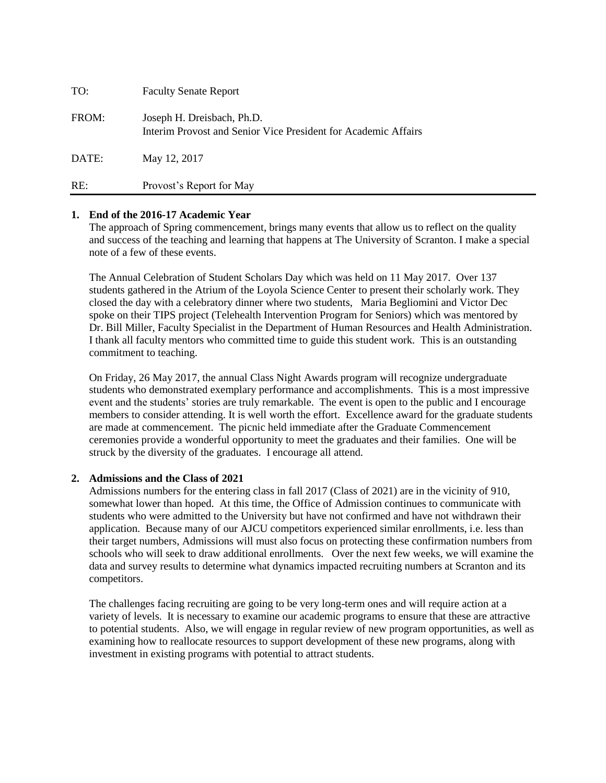| TO:   | <b>Faculty Senate Report</b>                                                                 |
|-------|----------------------------------------------------------------------------------------------|
| FROM: | Joseph H. Dreisbach, Ph.D.<br>Interim Provost and Senior Vice President for Academic Affairs |
| DATE: | May 12, 2017                                                                                 |
| RE:   | Provost's Report for May                                                                     |

#### **1. End of the 2016-17 Academic Year**

The approach of Spring commencement, brings many events that allow us to reflect on the quality and success of the teaching and learning that happens at The University of Scranton. I make a special note of a few of these events.

The Annual Celebration of Student Scholars Day which was held on 11 May 2017. Over 137 students gathered in the Atrium of the Loyola Science Center to present their scholarly work. They closed the day with a celebratory dinner where two students, Maria Begliomini and Victor Dec spoke on their TIPS project (Telehealth Intervention Program for Seniors) which was mentored by Dr. Bill Miller, Faculty Specialist in the Department of Human Resources and Health Administration. I thank all faculty mentors who committed time to guide this student work. This is an outstanding commitment to teaching.

On Friday, 26 May 2017, the annual Class Night Awards program will recognize undergraduate students who demonstrated exemplary performance and accomplishments. This is a most impressive event and the students' stories are truly remarkable. The event is open to the public and I encourage members to consider attending. It is well worth the effort. Excellence award for the graduate students are made at commencement. The picnic held immediate after the Graduate Commencement ceremonies provide a wonderful opportunity to meet the graduates and their families. One will be struck by the diversity of the graduates. I encourage all attend.

# **2. Admissions and the Class of 2021**

Admissions numbers for the entering class in fall 2017 (Class of 2021) are in the vicinity of 910, somewhat lower than hoped. At this time, the Office of Admission continues to communicate with students who were admitted to the University but have not confirmed and have not withdrawn their application. Because many of our AJCU competitors experienced similar enrollments, i.e. less than their target numbers, Admissions will must also focus on protecting these confirmation numbers from schools who will seek to draw additional enrollments. Over the next few weeks, we will examine the data and survey results to determine what dynamics impacted recruiting numbers at Scranton and its competitors.

The challenges facing recruiting are going to be very long-term ones and will require action at a variety of levels. It is necessary to examine our academic programs to ensure that these are attractive to potential students. Also, we will engage in regular review of new program opportunities, as well as examining how to reallocate resources to support development of these new programs, along with investment in existing programs with potential to attract students.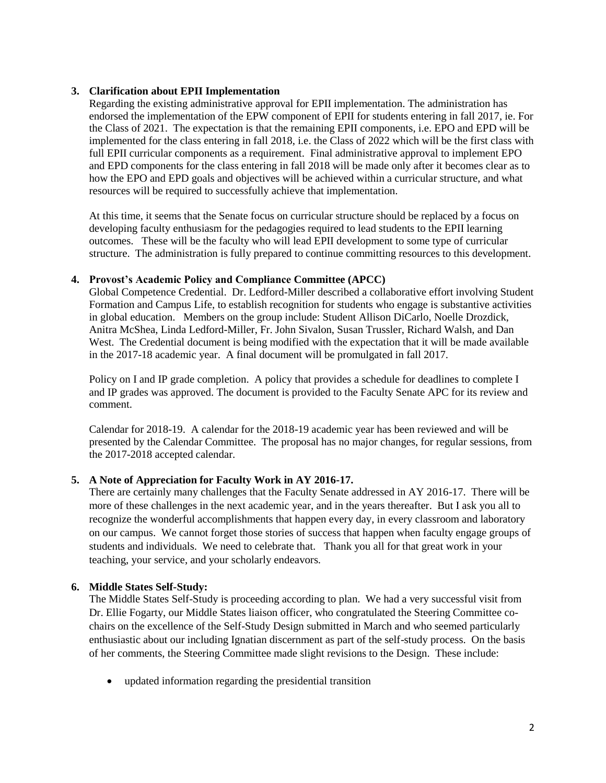#### **3. Clarification about EPII Implementation**

Regarding the existing administrative approval for EPII implementation. The administration has endorsed the implementation of the EPW component of EPII for students entering in fall 2017, ie. For the Class of 2021. The expectation is that the remaining EPII components, i.e. EPO and EPD will be implemented for the class entering in fall 2018, i.e. the Class of 2022 which will be the first class with full EPII curricular components as a requirement. Final administrative approval to implement EPO and EPD components for the class entering in fall 2018 will be made only after it becomes clear as to how the EPO and EPD goals and objectives will be achieved within a curricular structure, and what resources will be required to successfully achieve that implementation.

At this time, it seems that the Senate focus on curricular structure should be replaced by a focus on developing faculty enthusiasm for the pedagogies required to lead students to the EPII learning outcomes. These will be the faculty who will lead EPII development to some type of curricular structure. The administration is fully prepared to continue committing resources to this development.

### **4. Provost's Academic Policy and Compliance Committee (APCC)**

Global Competence Credential. Dr. Ledford-Miller described a collaborative effort involving Student Formation and Campus Life, to establish recognition for students who engage is substantive activities in global education. Members on the group include: Student Allison DiCarlo, Noelle Drozdick, Anitra McShea, Linda Ledford-Miller, Fr. John Sivalon, Susan Trussler, Richard Walsh, and Dan West. The Credential document is being modified with the expectation that it will be made available in the 2017-18 academic year. A final document will be promulgated in fall 2017.

Policy on I and IP grade completion. A policy that provides a schedule for deadlines to complete I and IP grades was approved. The document is provided to the Faculty Senate APC for its review and comment.

Calendar for 2018-19. A calendar for the 2018-19 academic year has been reviewed and will be presented by the Calendar Committee. The proposal has no major changes, for regular sessions, from the 2017-2018 accepted calendar.

# **5. A Note of Appreciation for Faculty Work in AY 2016-17.**

There are certainly many challenges that the Faculty Senate addressed in AY 2016-17. There will be more of these challenges in the next academic year, and in the years thereafter. But I ask you all to recognize the wonderful accomplishments that happen every day, in every classroom and laboratory on our campus. We cannot forget those stories of success that happen when faculty engage groups of students and individuals. We need to celebrate that. Thank you all for that great work in your teaching, your service, and your scholarly endeavors.

#### **6. Middle States Self-Study:**

The Middle States Self-Study is proceeding according to plan. We had a very successful visit from Dr. Ellie Fogarty, our Middle States liaison officer, who congratulated the Steering Committee cochairs on the excellence of the Self-Study Design submitted in March and who seemed particularly enthusiastic about our including Ignatian discernment as part of the self-study process. On the basis of her comments, the Steering Committee made slight revisions to the Design. These include:

updated information regarding the presidential transition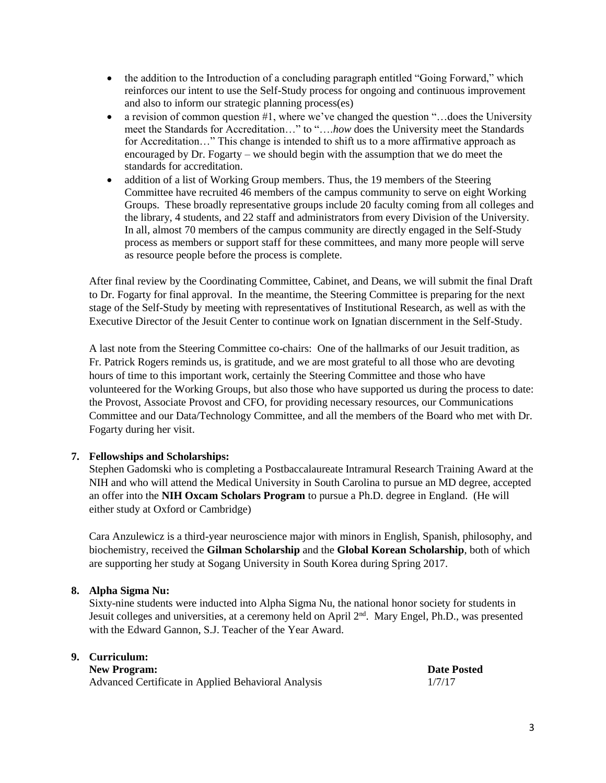- the addition to the Introduction of a concluding paragraph entitled "Going Forward," which reinforces our intent to use the Self-Study process for ongoing and continuous improvement and also to inform our strategic planning process(es)
- a revision of common question  $#1$ , where we've changed the question "...does the University meet the Standards for Accreditation…" to "….*how* does the University meet the Standards for Accreditation…" This change is intended to shift us to a more affirmative approach as encouraged by Dr. Fogarty – we should begin with the assumption that we do meet the standards for accreditation.
- addition of a list of Working Group members. Thus, the 19 members of the Steering Committee have recruited 46 members of the campus community to serve on eight Working Groups. These broadly representative groups include 20 faculty coming from all colleges and the library, 4 students, and 22 staff and administrators from every Division of the University. In all, almost 70 members of the campus community are directly engaged in the Self-Study process as members or support staff for these committees, and many more people will serve as resource people before the process is complete.

After final review by the Coordinating Committee, Cabinet, and Deans, we will submit the final Draft to Dr. Fogarty for final approval. In the meantime, the Steering Committee is preparing for the next stage of the Self-Study by meeting with representatives of Institutional Research, as well as with the Executive Director of the Jesuit Center to continue work on Ignatian discernment in the Self-Study.

A last note from the Steering Committee co-chairs: One of the hallmarks of our Jesuit tradition, as Fr. Patrick Rogers reminds us, is gratitude, and we are most grateful to all those who are devoting hours of time to this important work, certainly the Steering Committee and those who have volunteered for the Working Groups, but also those who have supported us during the process to date: the Provost, Associate Provost and CFO, for providing necessary resources, our Communications Committee and our Data/Technology Committee, and all the members of the Board who met with Dr. Fogarty during her visit.

# **7. Fellowships and Scholarships:**

Stephen Gadomski who is completing a Postbaccalaureate Intramural Research Training Award at the NIH and who will attend the Medical University in South Carolina to pursue an MD degree, accepted an offer into the **NIH Oxcam Scholars Program** to pursue a Ph.D. degree in England. (He will either study at Oxford or Cambridge)

Cara Anzulewicz is a third-year neuroscience major with minors in English, Spanish, philosophy, and biochemistry, received the **Gilman Scholarship** and the **Global Korean Scholarship**, both of which are supporting her study at Sogang University in South Korea during Spring 2017.

# **8. Alpha Sigma Nu:**

Sixty-nine students were inducted into Alpha Sigma Nu, the national honor society for students in Jesuit colleges and universities, at a ceremony held on April 2<sup>nd</sup>. Mary Engel, Ph.D., was presented with the Edward Gannon, S.J. Teacher of the Year Award.

# **9. Curriculum:**

**New Program: Date Posted** Advanced Certificate in Applied Behavioral Analysis 1/7/17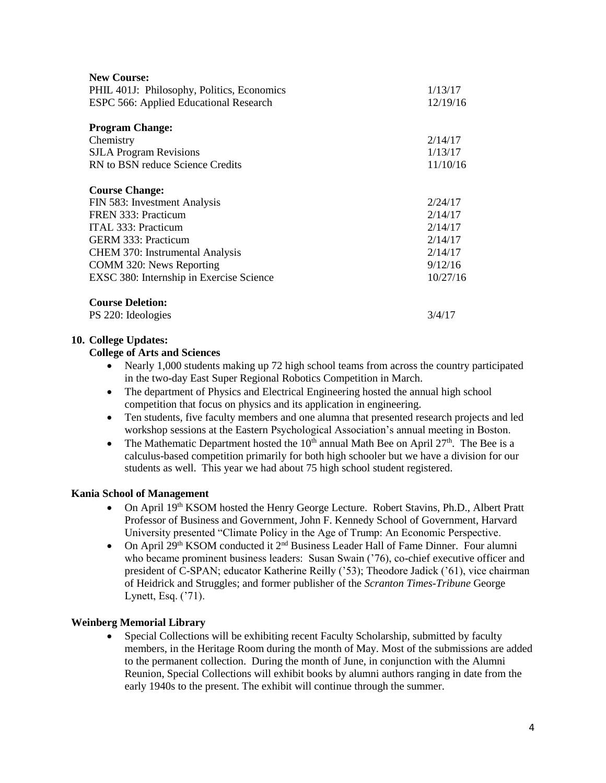| <b>New Course:</b>                         |          |
|--------------------------------------------|----------|
| PHIL 401J: Philosophy, Politics, Economics | 1/13/17  |
| ESPC 566: Applied Educational Research     | 12/19/16 |
| <b>Program Change:</b>                     |          |
| Chemistry                                  | 2/14/17  |
| <b>SJLA Program Revisions</b>              | 1/13/17  |
| RN to BSN reduce Science Credits           | 11/10/16 |
| <b>Course Change:</b>                      |          |
| FIN 583: Investment Analysis               | 2/24/17  |
| FREN 333: Practicum                        | 2/14/17  |
| ITAL 333: Practicum                        | 2/14/17  |
| <b>GERM 333: Practicum</b>                 | 2/14/17  |
| <b>CHEM 370: Instrumental Analysis</b>     | 2/14/17  |
| COMM 320: News Reporting                   | 9/12/16  |
| EXSC 380: Internship in Exercise Science   | 10/27/16 |
| <b>Course Deletion:</b>                    |          |
| PS 220: Ideologies                         | 3/4/17   |

# **10. College Updates:**

### **College of Arts and Sciences**

- Nearly 1,000 students making up 72 high school teams from across the country participated in the two-day East Super Regional Robotics Competition in March.
- The department of Physics and Electrical Engineering hosted the annual high school competition that focus on physics and its application in engineering.
- Ten students, five faculty members and one alumna that presented research projects and led workshop sessions at the Eastern Psychological Association's annual meeting in Boston.
- The Mathematic Department hosted the  $10<sup>th</sup>$  annual Math Bee on April 27<sup>th</sup>. The Bee is a calculus-based competition primarily for both high schooler but we have a division for our students as well. This year we had about 75 high school student registered.

#### **Kania School of Management**

- On April 19th KSOM hosted the Henry George Lecture. Robert Stavins, Ph.D., Albert Pratt Professor of Business and Government, John F. Kennedy School of Government, Harvard University presented "Climate Policy in the Age of Trump: An Economic Perspective.
- On April 29<sup>th</sup> KSOM conducted it  $2<sup>nd</sup>$  Business Leader Hall of Fame Dinner. Four alumni who became prominent business leaders: Susan Swain ('76), co-chief executive officer and president of C-SPAN; educator Katherine Reilly ('53); Theodore Jadick ('61), vice chairman of Heidrick and Struggles; and former publisher of the *Scranton Times-Tribune* George Lynett, Esq. ('71).

#### **Weinberg Memorial Library**

 Special Collections will be exhibiting recent Faculty Scholarship, submitted by faculty members, in the Heritage Room during the month of May. Most of the submissions are added to the permanent collection. During the month of June, in conjunction with the Alumni Reunion, Special Collections will exhibit books by alumni authors ranging in date from the early 1940s to the present. The exhibit will continue through the summer.